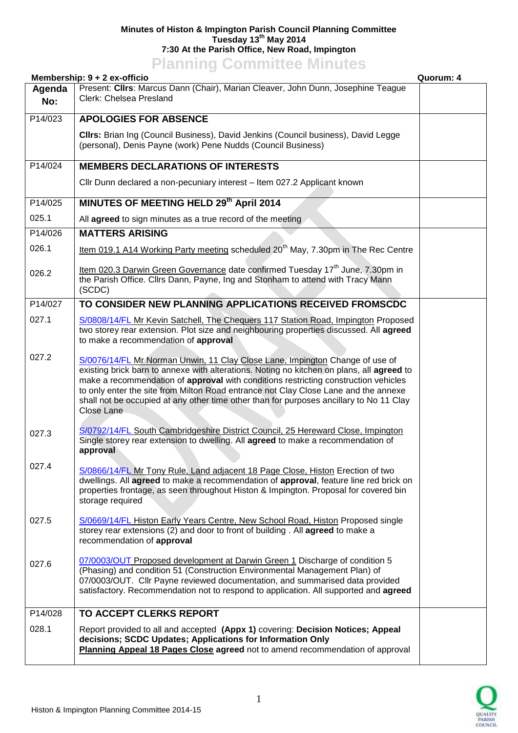## **Minutes of Histon & Impington Parish Council Planning Committee Tuesday 13th May 2014 7:30 At the Parish Office, New Road, Impington Planning Committee Minutes**

|                      | <b>TRIBUTE COMMITTEE</b><br>Membership: 9 + 2 ex-officio                                                                                                                                                                                                                                                                                                                                                                                                         | Quorum: 4 |
|----------------------|------------------------------------------------------------------------------------------------------------------------------------------------------------------------------------------------------------------------------------------------------------------------------------------------------------------------------------------------------------------------------------------------------------------------------------------------------------------|-----------|
| Agenda<br>No:        | Present: Cllrs: Marcus Dann (Chair), Marian Cleaver, John Dunn, Josephine Teague<br>Clerk: Chelsea Presland                                                                                                                                                                                                                                                                                                                                                      |           |
| P14/023              | <b>APOLOGIES FOR ABSENCE</b>                                                                                                                                                                                                                                                                                                                                                                                                                                     |           |
|                      | CIIrs: Brian Ing (Council Business), David Jenkins (Council business), David Legge<br>(personal), Denis Payne (work) Pene Nudds (Council Business)                                                                                                                                                                                                                                                                                                               |           |
| P14/024              | <b>MEMBERS DECLARATIONS OF INTERESTS</b>                                                                                                                                                                                                                                                                                                                                                                                                                         |           |
|                      | Cllr Dunn declared a non-pecuniary interest - Item 027.2 Applicant known                                                                                                                                                                                                                                                                                                                                                                                         |           |
| P14/025              | MINUTES OF MEETING HELD 29th April 2014                                                                                                                                                                                                                                                                                                                                                                                                                          |           |
| 025.1                | All agreed to sign minutes as a true record of the meeting                                                                                                                                                                                                                                                                                                                                                                                                       |           |
| $\overline{P14}/026$ | <b>MATTERS ARISING</b>                                                                                                                                                                                                                                                                                                                                                                                                                                           |           |
| 026.1                | Item 019.1 A14 Working Party meeting scheduled 20 <sup>th</sup> May, 7.30pm in The Rec Centre                                                                                                                                                                                                                                                                                                                                                                    |           |
| 026.2                | Item 020.3 Darwin Green Governance date confirmed Tuesday 17 <sup>th</sup> June, 7.30pm in<br>the Parish Office. Cllrs Dann, Payne, Ing and Stonham to attend with Tracy Mann<br>(SCDC)                                                                                                                                                                                                                                                                          |           |
| P14/027              | TO CONSIDER NEW PLANNING APPLICATIONS RECEIVED FROMSCDC                                                                                                                                                                                                                                                                                                                                                                                                          |           |
| 027.1                | S/0808/14/FL Mr Kevin Satchell, The Chequers 117 Station Road, Impington Proposed<br>two storey rear extension. Plot size and neighbouring properties discussed. All agreed<br>to make a recommendation of approval                                                                                                                                                                                                                                              |           |
| 027.2                | S/0076/14/FL Mr Norman Unwin, 11 Clay Close Lane, Impington Change of use of<br>existing brick barn to annexe with alterations. Noting no kitchen on plans, all agreed to<br>make a recommendation of approval with conditions restricting construction vehicles<br>to only enter the site from Milton Road entrance not Clay Close Lane and the annexe<br>shall not be occupied at any other time other than for purposes ancillary to No 11 Clay<br>Close Lane |           |
| 027.3                | S/0792/14/FL South Cambridgeshire District Council, 25 Hereward Close, Impington<br>Single storey rear extension to dwelling. All agreed to make a recommendation of<br>approval                                                                                                                                                                                                                                                                                 |           |
| 027.4                | S/0866/14/FL Mr Tony Rule, Land adjacent 18 Page Close, Histon Erection of two<br>dwellings. All agreed to make a recommendation of approval, feature line red brick on<br>properties frontage, as seen throughout Histon & Impington. Proposal for covered bin<br>storage required                                                                                                                                                                              |           |
| 027.5                | S/0669/14/FL Histon Early Years Centre, New School Road, Histon Proposed single<br>storey rear extensions (2) and door to front of building. All agreed to make a<br>recommendation of approval                                                                                                                                                                                                                                                                  |           |
| 027.6                | 07/0003/OUT Proposed development at Darwin Green 1 Discharge of condition 5<br>(Phasing) and condition 51 (Construction Environmental Management Plan) of<br>07/0003/OUT. Cllr Payne reviewed documentation, and summarised data provided<br>satisfactory. Recommendation not to respond to application. All supported and agreed                                                                                                                                |           |
| P14/028              | TO ACCEPT CLERKS REPORT                                                                                                                                                                                                                                                                                                                                                                                                                                          |           |
| 028.1                | Report provided to all and accepted (Appx 1) covering: Decision Notices; Appeal<br>decisions; SCDC Updates; Applications for Information Only<br>Planning Appeal 18 Pages Close agreed not to amend recommendation of approval                                                                                                                                                                                                                                   |           |